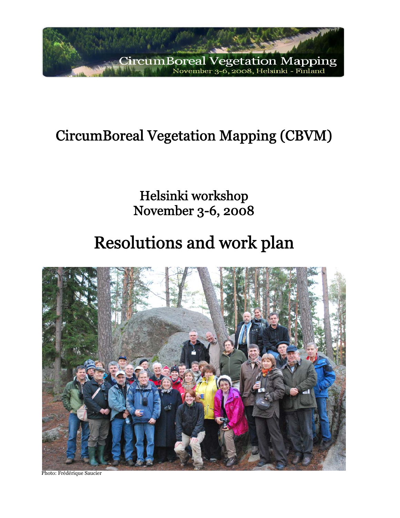

# CircumBoreal Vegetation Mapping (CBVM)

Helsinki workshop November 3-6, 2008

# Resolutions and work plan

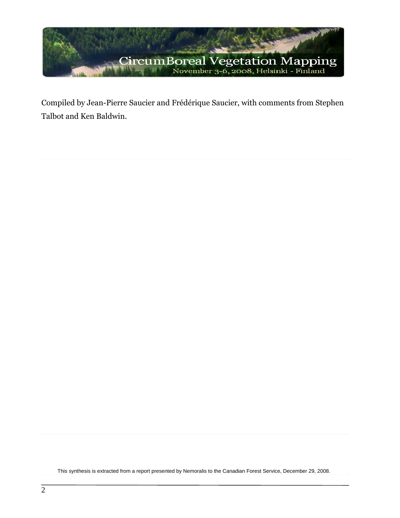

Compiled by Jean-Pierre Saucier and Frédérique Saucier, with comments from Stephen Talbot and Ken Baldwin.

This synthesis is extracted from a report presented by Nemoralis to the Canadian Forest Service, December 29, 2008.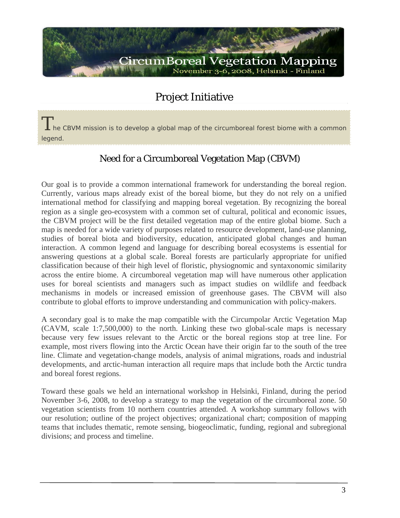

### Project Initiative

 $\bf{T}$  he CBVM mission is to develop a global map of the circumboreal forest biome with a common legend.

### Need for a Circumboreal Vegetation Map (CBVM)

Our goal is to provide a common international framework for understanding the boreal region. Currently, various maps already exist of the boreal biome, but they do not rely on a unified international method for classifying and mapping boreal vegetation. By recognizing the boreal region as a single geo-ecosystem with a common set of cultural, political and economic issues, the CBVM project will be the first detailed vegetation map of the entire global biome. Such a map is needed for a wide variety of purposes related to resource development, land-use planning, studies of boreal biota and biodiversity, education, anticipated global changes and human interaction. A common legend and language for describing boreal ecosystems is essential for answering questions at a global scale. Boreal forests are particularly appropriate for unified classification because of their high level of floristic, physiognomic and syntaxonomic similarity across the entire biome. A circumboreal vegetation map will have numerous other application uses for boreal scientists and managers such as impact studies on wildlife and feedback mechanisms in models or increased emission of greenhouse gases. The CBVM will also contribute to global efforts to improve understanding and communication with policy-makers.

A secondary goal is to make the map compatible with the Circumpolar Arctic Vegetation Map (CAVM, scale 1:7,500,000) to the north. Linking these two global-scale maps is necessary because very few issues relevant to the Arctic or the boreal regions stop at tree line. For example, most rivers flowing into the Arctic Ocean have their origin far to the south of the tree line. Climate and vegetation-change models, analysis of animal migrations, roads and industrial developments, and arctic-human interaction all require maps that include both the Arctic tundra and boreal forest regions.

Toward these goals we held an international workshop in Helsinki, Finland, during the period November 3-6, 2008, to develop a strategy to map the vegetation of the circumboreal zone. 50 vegetation scientists from 10 northern countries attended. A workshop summary follows with our resolution; outline of the project objectives; organizational chart; composition of mapping teams that includes thematic, remote sensing, biogeoclimatic, funding, regional and subregional divisions; and process and timeline.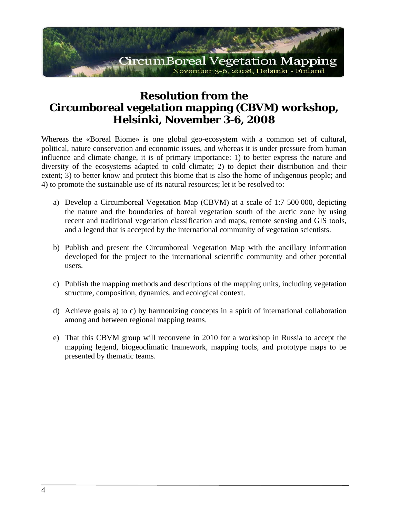

### **Resolution from the Circumboreal vegetation mapping (CBVM) workshop, Helsinki, November 3-6, 2008**

Whereas the «Boreal Biome» is one global geo-ecosystem with a common set of cultural, political, nature conservation and economic issues, and whereas it is under pressure from human influence and climate change, it is of primary importance: 1) to better express the nature and diversity of the ecosystems adapted to cold climate; 2) to depict their distribution and their extent; 3) to better know and protect this biome that is also the home of indigenous people; and 4) to promote the sustainable use of its natural resources; let it be resolved to:

- a) Develop a Circumboreal Vegetation Map (CBVM) at a scale of 1:7 500 000, depicting the nature and the boundaries of boreal vegetation south of the arctic zone by using recent and traditional vegetation classification and maps, remote sensing and GIS tools, and a legend that is accepted by the international community of vegetation scientists.
- b) Publish and present the Circumboreal Vegetation Map with the ancillary information developed for the project to the international scientific community and other potential users.
- c) Publish the mapping methods and descriptions of the mapping units, including vegetation structure, composition, dynamics, and ecological context.
- d) Achieve goals a) to c) by harmonizing concepts in a spirit of international collaboration among and between regional mapping teams.
- e) That this CBVM group will reconvene in 2010 for a workshop in Russia to accept the mapping legend, biogeoclimatic framework, mapping tools, and prototype maps to be presented by thematic teams.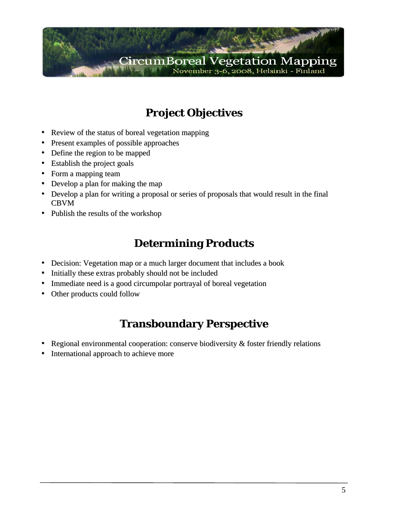

### **Project Objectives**

- Review of the status of boreal vegetation mapping
- Present examples of possible approaches
- Define the region to be mapped
- Establish the project goals
- Form a mapping team
- Develop a plan for making the map
- Develop a plan for writing a proposal or series of proposals that would result in the final CBVM
- Publish the results of the workshop

### **Determining Products**

- Decision: Vegetation map or a much larger document that includes a book
- Initially these extras probably should not be included
- Immediate need is a good circumpolar portrayal of boreal vegetation
- Other products could follow

### **Transboundary Perspective**

- Regional environmental cooperation: conserve biodiversity & foster friendly relations
- International approach to achieve more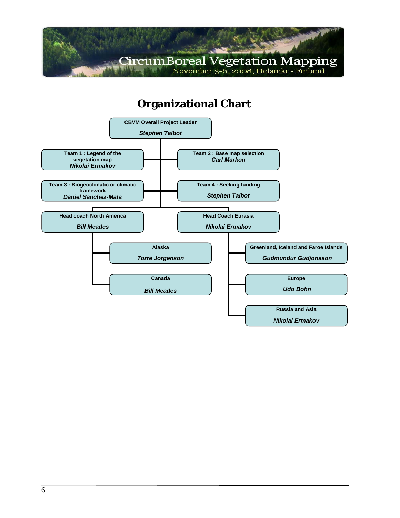

### **Organizational Chart**

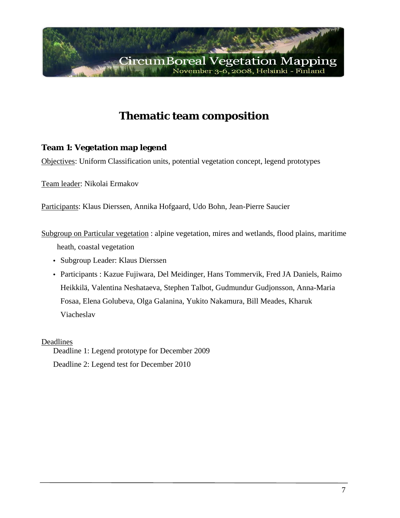

### **Thematic team composition**

### **Team 1: Vegetation map legend**

Objectives: Uniform Classification units, potential vegetation concept, legend prototypes

Team leader: Nikolai Ermakov

Participants: Klaus Dierssen, Annika Hofgaard, Udo Bohn, Jean-Pierre Saucier

Subgroup on Particular vegetation : alpine vegetation, mires and wetlands, flood plains, maritime

heath, coastal vegetation

- Subgroup Leader: Klaus Dierssen
- Participants : Kazue Fujiwara, Del Meidinger, Hans Tommervik, Fred JA Daniels, Raimo Heikkilä, Valentina Neshataeva, Stephen Talbot, Gudmundur Gudjonsson, Anna-Maria Fosaa, Elena Golubeva, Olga Galanina, Yukito Nakamura, Bill Meades, Kharuk Viacheslav

Deadlines

Deadline 1: Legend prototype for December 2009 Deadline 2: Legend test for December 2010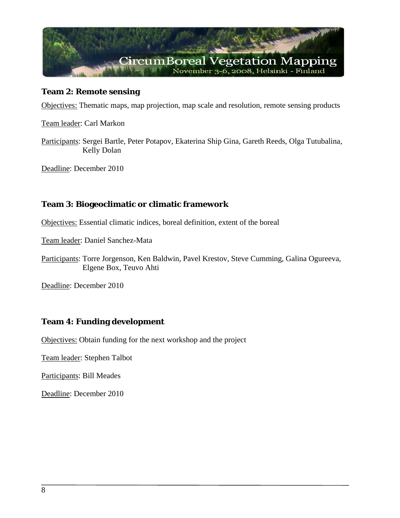

#### **Team 2: Remote sensing**

Objectives: Thematic maps, map projection, map scale and resolution, remote sensing products

Team leader: Carl Markon

Participants: Sergei Bartle, Peter Potapov, Ekaterina Ship Gina, Gareth Reeds, Olga Tutubalina, Kelly Dolan

Deadline: December 2010

### **Team 3: Biogeoclimatic or climatic framework**

Objectives: Essential climatic indices, boreal definition, extent of the boreal

Team leader: Daniel Sanchez-Mata

Participants: Torre Jorgenson, Ken Baldwin, Pavel Krestov, Steve Cumming, Galina Ogureeva, Elgene Box, Teuvo Ahti

Deadline: December 2010

### **Team 4: Funding development**

Objectives: Obtain funding for the next workshop and the project

Team leader: Stephen Talbot

Participants: Bill Meades

Deadline: December 2010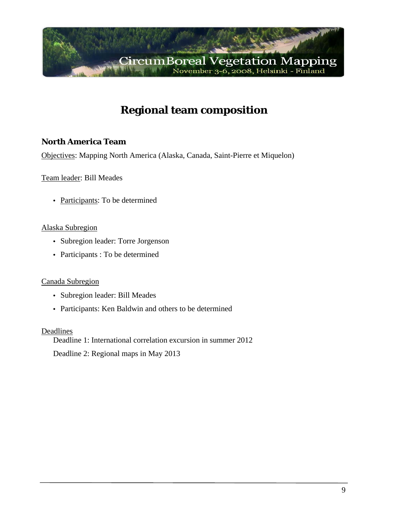

### **Regional team composition**

### **North America Team**

Objectives: Mapping North America (Alaska, Canada, Saint-Pierre et Miquelon)

Team leader: Bill Meades

• Participants: To be determined

#### Alaska Subregion

- Subregion leader: Torre Jorgenson
- Participants : To be determined

#### Canada Subregion

- Subregion leader: Bill Meades
- Participants: Ken Baldwin and others to be determined

#### Deadlines

Deadline 1: International correlation excursion in summer 2012 Deadline 2: Regional maps in May 2013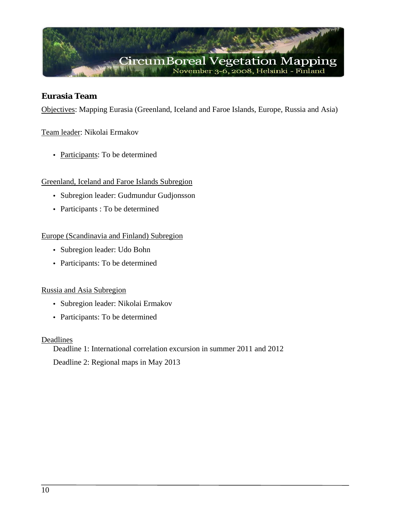

#### **Eurasia Team**

Objectives: Mapping Eurasia (Greenland, Iceland and Faroe Islands, Europe, Russia and Asia)

#### Team leader: Nikolai Ermakov

• Participants: To be determined

#### Greenland, Iceland and Faroe Islands Subregion

- Subregion leader: Gudmundur Gudjonsson
- Participants : To be determined

#### Europe (Scandinavia and Finland) Subregion

- Subregion leader: Udo Bohn
- Participants: To be determined

#### Russia and Asia Subregion

- Subregion leader: Nikolai Ermakov
- Participants: To be determined

#### Deadlines

Deadline 1: International correlation excursion in summer 2011 and 2012 Deadline 2: Regional maps in May 2013